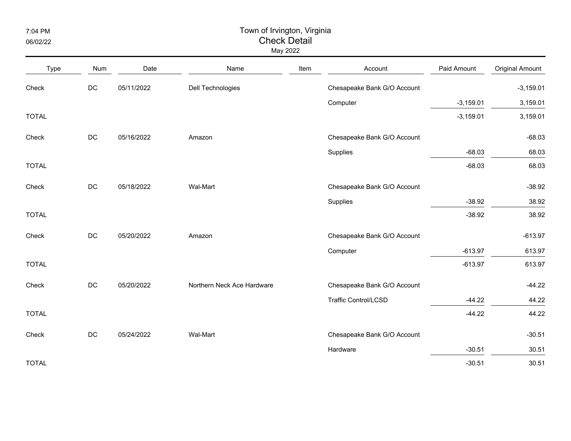7:04 PM

## 06/02/22

## Town of Irvington, Virginia Check Detail

May 2022

| Type         | <b>Num</b>    | Date       | Name                       | Item | Account                     | Paid Amount | <b>Original Amount</b> |
|--------------|---------------|------------|----------------------------|------|-----------------------------|-------------|------------------------|
| Check        | $\mathsf{DC}$ | 05/11/2022 | Dell Technologies          |      | Chesapeake Bank G/O Account |             | $-3,159.01$            |
|              |               |            |                            |      | Computer                    | $-3,159.01$ | 3,159.01               |
| <b>TOTAL</b> |               |            |                            |      |                             | $-3,159.01$ | 3,159.01               |
| Check        | $DC$          | 05/16/2022 | Amazon                     |      | Chesapeake Bank G/O Account |             | $-68.03$               |
|              |               |            |                            |      | Supplies                    | $-68.03$    | 68.03                  |
| <b>TOTAL</b> |               |            |                            |      |                             | $-68.03$    | 68.03                  |
| Check        | $DC$          | 05/18/2022 | Wal-Mart                   |      | Chesapeake Bank G/O Account |             | $-38.92$               |
|              |               |            |                            |      | Supplies                    | $-38.92$    | 38.92                  |
| <b>TOTAL</b> |               |            |                            |      |                             | $-38.92$    | 38.92                  |
| Check        | $DC$          | 05/20/2022 | Amazon                     |      | Chesapeake Bank G/O Account |             | $-613.97$              |
|              |               |            |                            |      | Computer                    | $-613.97$   | 613.97                 |
| <b>TOTAL</b> |               |            |                            |      |                             | $-613.97$   | 613.97                 |
| Check        | $DC$          | 05/20/2022 | Northern Neck Ace Hardware |      | Chesapeake Bank G/O Account |             | $-44.22$               |
|              |               |            |                            |      | <b>Traffic Control/LCSD</b> | $-44.22$    | 44.22                  |
| <b>TOTAL</b> |               |            |                            |      |                             | $-44.22$    | 44.22                  |
| Check        | $DC$          | 05/24/2022 | Wal-Mart                   |      | Chesapeake Bank G/O Account |             | $-30.51$               |
|              |               |            |                            |      | Hardware                    | $-30.51$    | 30.51                  |
| <b>TOTAL</b> |               |            |                            |      |                             | $-30.51$    | 30.51                  |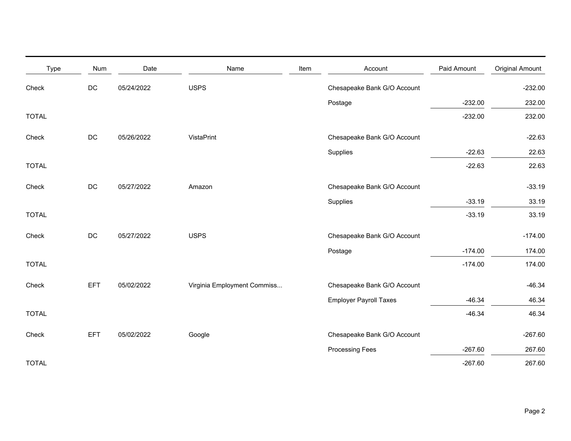| Type         | Num           | Date       | Name                        | Item | Account                       | Paid Amount | <b>Original Amount</b> |
|--------------|---------------|------------|-----------------------------|------|-------------------------------|-------------|------------------------|
| Check        | $DC$          | 05/24/2022 | <b>USPS</b>                 |      | Chesapeake Bank G/O Account   |             | $-232.00$              |
|              |               |            |                             |      | Postage                       | $-232.00$   | 232.00                 |
| <b>TOTAL</b> |               |            |                             |      |                               | $-232.00$   | 232.00                 |
| Check        | DC            | 05/26/2022 | VistaPrint                  |      | Chesapeake Bank G/O Account   |             | $-22.63$               |
|              |               |            |                             |      | Supplies                      | $-22.63$    | 22.63                  |
| <b>TOTAL</b> |               |            |                             |      |                               | $-22.63$    | 22.63                  |
| Check        | DC            | 05/27/2022 | Amazon                      |      | Chesapeake Bank G/O Account   |             | $-33.19$               |
|              |               |            |                             |      | Supplies                      | $-33.19$    | 33.19                  |
| <b>TOTAL</b> |               |            |                             |      |                               | $-33.19$    | 33.19                  |
| Check        | $\mathsf{DC}$ | 05/27/2022 | <b>USPS</b>                 |      | Chesapeake Bank G/O Account   |             | $-174.00$              |
|              |               |            |                             |      | Postage                       | $-174.00$   | 174.00                 |
| <b>TOTAL</b> |               |            |                             |      |                               | $-174.00$   | 174.00                 |
| Check        | <b>EFT</b>    | 05/02/2022 | Virginia Employment Commiss |      | Chesapeake Bank G/O Account   |             | $-46.34$               |
|              |               |            |                             |      | <b>Employer Payroll Taxes</b> | $-46.34$    | 46.34                  |
| <b>TOTAL</b> |               |            |                             |      |                               | $-46.34$    | 46.34                  |
| Check        | EFT           | 05/02/2022 | Google                      |      | Chesapeake Bank G/O Account   |             | $-267.60$              |
|              |               |            |                             |      | <b>Processing Fees</b>        | $-267.60$   | 267.60                 |
| <b>TOTAL</b> |               |            |                             |      |                               | $-267.60$   | 267.60                 |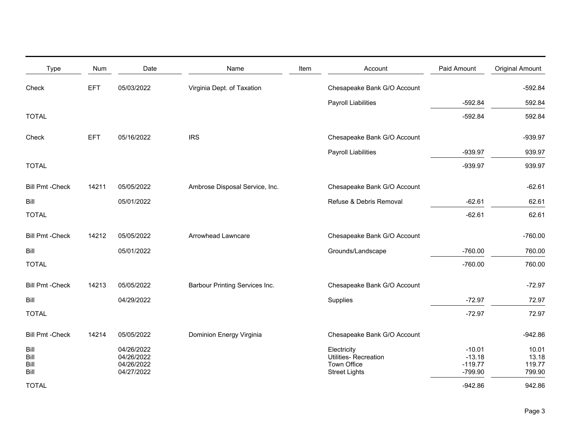| <b>Type</b>                  | Num        | Date                                                 | Name                           | Item | Account                                                                            | Paid Amount                                  | <b>Original Amount</b>             |
|------------------------------|------------|------------------------------------------------------|--------------------------------|------|------------------------------------------------------------------------------------|----------------------------------------------|------------------------------------|
| Check                        | <b>EFT</b> | 05/03/2022                                           | Virginia Dept. of Taxation     |      | Chesapeake Bank G/O Account                                                        |                                              | $-592.84$                          |
|                              |            |                                                      |                                |      | <b>Payroll Liabilities</b>                                                         | $-592.84$                                    | 592.84                             |
| <b>TOTAL</b>                 |            |                                                      |                                |      |                                                                                    | $-592.84$                                    | 592.84                             |
| Check                        | <b>EFT</b> | 05/16/2022                                           | <b>IRS</b>                     |      | Chesapeake Bank G/O Account                                                        |                                              | -939.97                            |
|                              |            |                                                      |                                |      | <b>Payroll Liabilities</b>                                                         | $-939.97$                                    | 939.97                             |
| <b>TOTAL</b>                 |            |                                                      |                                |      |                                                                                    | -939.97                                      | 939.97                             |
| <b>Bill Pmt - Check</b>      | 14211      | 05/05/2022                                           | Ambrose Disposal Service, Inc. |      | Chesapeake Bank G/O Account                                                        |                                              | $-62.61$                           |
| Bill                         |            | 05/01/2022                                           |                                |      | Refuse & Debris Removal                                                            | $-62.61$                                     | 62.61                              |
| <b>TOTAL</b>                 |            |                                                      |                                |      |                                                                                    | $-62.61$                                     | 62.61                              |
| <b>Bill Pmt -Check</b>       | 14212      | 05/05/2022                                           | Arrowhead Lawncare             |      | Chesapeake Bank G/O Account                                                        |                                              | $-760.00$                          |
| Bill                         |            | 05/01/2022                                           |                                |      | Grounds/Landscape                                                                  | $-760.00$                                    | 760.00                             |
| <b>TOTAL</b>                 |            |                                                      |                                |      |                                                                                    | $-760.00$                                    | 760.00                             |
| <b>Bill Pmt - Check</b>      | 14213      | 05/05/2022                                           | Barbour Printing Services Inc. |      | Chesapeake Bank G/O Account                                                        |                                              | $-72.97$                           |
| Bill                         |            | 04/29/2022                                           |                                |      | Supplies                                                                           | $-72.97$                                     | 72.97                              |
| <b>TOTAL</b>                 |            |                                                      |                                |      |                                                                                    | $-72.97$                                     | 72.97                              |
| <b>Bill Pmt -Check</b>       | 14214      | 05/05/2022                                           | Dominion Energy Virginia       |      | Chesapeake Bank G/O Account                                                        |                                              | $-942.86$                          |
| Bill<br>Bill<br>Bill<br>Bill |            | 04/26/2022<br>04/26/2022<br>04/26/2022<br>04/27/2022 |                                |      | Electricity<br><b>Utilities- Recreation</b><br>Town Office<br><b>Street Lights</b> | $-10.01$<br>$-13.18$<br>$-119.77$<br>-799.90 | 10.01<br>13.18<br>119.77<br>799.90 |
| <b>TOTAL</b>                 |            |                                                      |                                |      |                                                                                    | $-942.86$                                    | 942.86                             |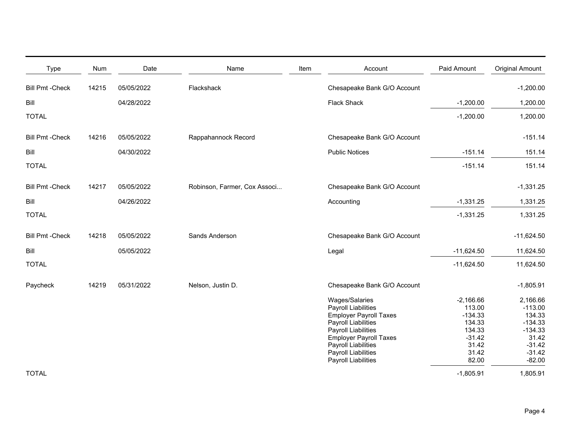| <b>Type</b>             | <b>Num</b> | Date       | Name                         | Item | Account                                                                                                                                                                                                                    | Paid Amount                                                                                   | <b>Original Amount</b>                                                                                 |
|-------------------------|------------|------------|------------------------------|------|----------------------------------------------------------------------------------------------------------------------------------------------------------------------------------------------------------------------------|-----------------------------------------------------------------------------------------------|--------------------------------------------------------------------------------------------------------|
| <b>Bill Pmt -Check</b>  | 14215      | 05/05/2022 | Flackshack                   |      | Chesapeake Bank G/O Account                                                                                                                                                                                                |                                                                                               | $-1,200.00$                                                                                            |
| Bill                    |            | 04/28/2022 |                              |      | <b>Flack Shack</b>                                                                                                                                                                                                         | $-1,200.00$                                                                                   | 1,200.00                                                                                               |
| <b>TOTAL</b>            |            |            |                              |      |                                                                                                                                                                                                                            | $-1,200.00$                                                                                   | 1,200.00                                                                                               |
| <b>Bill Pmt - Check</b> | 14216      | 05/05/2022 | Rappahannock Record          |      | Chesapeake Bank G/O Account                                                                                                                                                                                                |                                                                                               | $-151.14$                                                                                              |
| Bill                    |            | 04/30/2022 |                              |      | <b>Public Notices</b>                                                                                                                                                                                                      | $-151.14$                                                                                     | 151.14                                                                                                 |
| <b>TOTAL</b>            |            |            |                              |      |                                                                                                                                                                                                                            | $-151.14$                                                                                     | 151.14                                                                                                 |
| <b>Bill Pmt - Check</b> | 14217      | 05/05/2022 | Robinson, Farmer, Cox Associ |      | Chesapeake Bank G/O Account                                                                                                                                                                                                |                                                                                               | $-1,331.25$                                                                                            |
| Bill                    |            | 04/26/2022 |                              |      | Accounting                                                                                                                                                                                                                 | $-1,331.25$                                                                                   | 1,331.25                                                                                               |
| <b>TOTAL</b>            |            |            |                              |      |                                                                                                                                                                                                                            | $-1,331.25$                                                                                   | 1,331.25                                                                                               |
| <b>Bill Pmt - Check</b> | 14218      | 05/05/2022 | Sands Anderson               |      | Chesapeake Bank G/O Account                                                                                                                                                                                                |                                                                                               | $-11,624.50$                                                                                           |
| Bill                    |            | 05/05/2022 |                              |      | Legal                                                                                                                                                                                                                      | $-11,624.50$                                                                                  | 11,624.50                                                                                              |
| <b>TOTAL</b>            |            |            |                              |      |                                                                                                                                                                                                                            | $-11,624.50$                                                                                  | 11,624.50                                                                                              |
| Paycheck                | 14219      | 05/31/2022 | Nelson, Justin D.            |      | Chesapeake Bank G/O Account                                                                                                                                                                                                |                                                                                               | $-1,805.91$                                                                                            |
|                         |            |            |                              |      | Wages/Salaries<br>Payroll Liabilities<br><b>Employer Payroll Taxes</b><br>Payroll Liabilities<br>Payroll Liabilities<br><b>Employer Payroll Taxes</b><br>Payroll Liabilities<br>Payroll Liabilities<br>Payroll Liabilities | $-2,166.66$<br>113.00<br>$-134.33$<br>134.33<br>134.33<br>$-31.42$<br>31.42<br>31.42<br>82.00 | 2,166.66<br>$-113.00$<br>134.33<br>$-134.33$<br>$-134.33$<br>31.42<br>$-31.42$<br>$-31.42$<br>$-82.00$ |
| <b>TOTAL</b>            |            |            |                              |      |                                                                                                                                                                                                                            | $-1,805.91$                                                                                   | 1,805.91                                                                                               |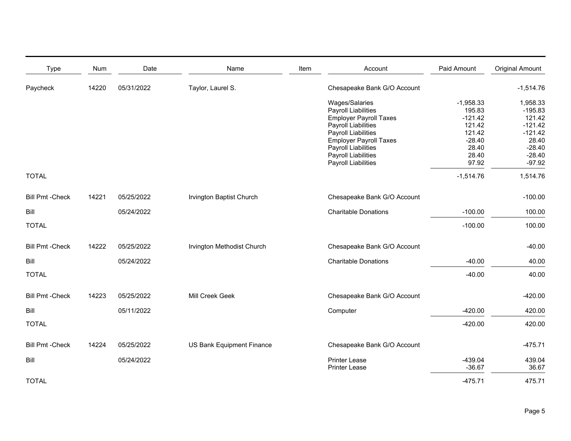| <b>Type</b>             | Num   | Date       | Name                       | Item | Account                       | Paid Amount | <b>Original Amount</b> |
|-------------------------|-------|------------|----------------------------|------|-------------------------------|-------------|------------------------|
| Paycheck                | 14220 | 05/31/2022 | Taylor, Laurel S.          |      | Chesapeake Bank G/O Account   |             | $-1,514.76$            |
|                         |       |            |                            |      | Wages/Salaries                | $-1,958.33$ | 1,958.33               |
|                         |       |            |                            |      | <b>Payroll Liabilities</b>    | 195.83      | $-195.83$              |
|                         |       |            |                            |      | <b>Employer Payroll Taxes</b> | $-121.42$   | 121.42                 |
|                         |       |            |                            |      | <b>Payroll Liabilities</b>    | 121.42      | $-121.42$              |
|                         |       |            |                            |      | Payroll Liabilities           | 121.42      | $-121.42$              |
|                         |       |            |                            |      | <b>Employer Payroll Taxes</b> | $-28.40$    | 28.40                  |
|                         |       |            |                            |      | Payroll Liabilities           | 28.40       | $-28.40$               |
|                         |       |            |                            |      | <b>Payroll Liabilities</b>    | 28.40       | $-28.40$               |
|                         |       |            |                            |      | Payroll Liabilities           | 97.92       | $-97.92$               |
| <b>TOTAL</b>            |       |            |                            |      |                               | $-1,514.76$ | 1,514.76               |
| <b>Bill Pmt - Check</b> | 14221 | 05/25/2022 | Irvington Baptist Church   |      | Chesapeake Bank G/O Account   |             | $-100.00$              |
| Bill                    |       | 05/24/2022 |                            |      | <b>Charitable Donations</b>   | $-100.00$   | 100.00                 |
| <b>TOTAL</b>            |       |            |                            |      |                               | $-100.00$   | 100.00                 |
| <b>Bill Pmt - Check</b> | 14222 | 05/25/2022 | Irvington Methodist Church |      | Chesapeake Bank G/O Account   |             | $-40.00$               |
| Bill                    |       | 05/24/2022 |                            |      | <b>Charitable Donations</b>   | $-40.00$    | 40.00                  |
|                         |       |            |                            |      |                               |             |                        |
| <b>TOTAL</b>            |       |            |                            |      |                               | $-40.00$    | 40.00                  |
| <b>Bill Pmt - Check</b> | 14223 | 05/25/2022 | Mill Creek Geek            |      | Chesapeake Bank G/O Account   |             | $-420.00$              |
| Bill                    |       | 05/11/2022 |                            |      | Computer                      | $-420.00$   | 420.00                 |
| <b>TOTAL</b>            |       |            |                            |      |                               | $-420.00$   | 420.00                 |
| <b>Bill Pmt -Check</b>  | 14224 | 05/25/2022 | US Bank Equipment Finance  |      | Chesapeake Bank G/O Account   |             | $-475.71$              |
| Bill                    |       | 05/24/2022 |                            |      | <b>Printer Lease</b>          | $-439.04$   | 439.04                 |
|                         |       |            |                            |      | <b>Printer Lease</b>          | $-36.67$    | 36.67                  |
|                         |       |            |                            |      |                               |             |                        |
| <b>TOTAL</b>            |       |            |                            |      |                               | $-475.71$   | 475.71                 |